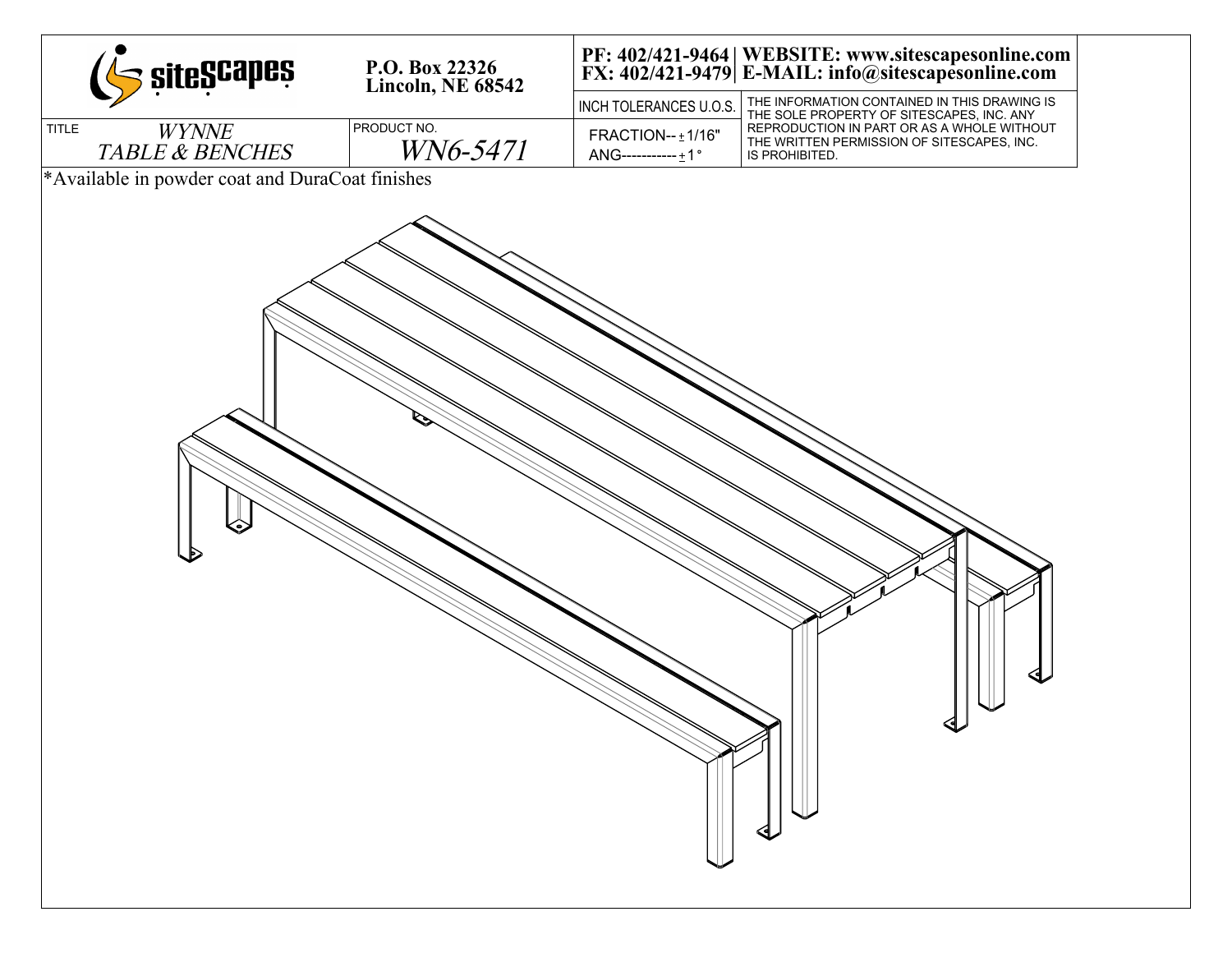